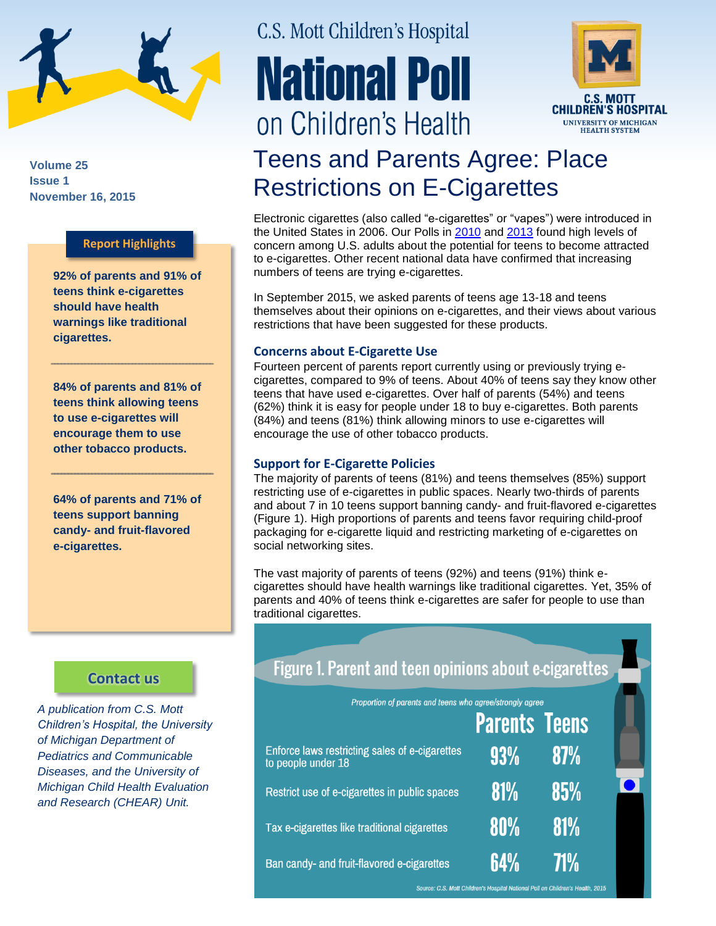

**Volume 25 Issue 1 November 16, 2015**

### **Report Highlights**

**92% of parents and 91% of teens think e-cigarettes should have health warnings like traditional cigarettes.** 

**84% of parents and 81% of teens think allowing teens to use e-cigarettes will encourage them to use other tobacco products.**

**64% of parents and 71% of teens support banning candy- and fruit-flavored e-cigarettes.**

### **[Contact us](http://mottnpch.org/contact)**

*A publication from C.S. Mott Children's Hospital, the University of Michigan Department of Pediatrics and Communicable Diseases, and the University of Michigan Child Health Evaluation and Research (CHEAR) Unit.*

# C.S. Mott Children's Hospital **National Poll** on Children's Health



## Teens and Parents Agree: Place Restrictions on E-Cigarettes

Electronic cigarettes (also called "e-cigarettes" or "vapes") were introduced in the United States in 2006. Our Polls in [2010](http://mottnpch.org/reports-surveys/e-cigarettes-public-supports-health-warnings-ban-sales-minors) and [2013](http://mottnpch.org/reports-surveys/adults-worry-e-cigarettes-will-encourage-kids-start-smoking-tobacco) found high levels of concern among U.S. adults about the potential for teens to become attracted to e-cigarettes. Other recent national data have confirmed that increasing numbers of teens are trying e-cigarettes.

In September 2015, we asked parents of teens age 13-18 and teens themselves about their opinions on e-cigarettes, and their views about various restrictions that have been suggested for these products.

### **Concerns about E-Cigarette Use**

Fourteen percent of parents report currently using or previously trying ecigarettes, compared to 9% of teens. About 40% of teens say they know other teens that have used e-cigarettes. Over half of parents (54%) and teens (62%) think it is easy for people under 18 to buy e-cigarettes. Both parents (84%) and teens (81%) think allowing minors to use e-cigarettes will encourage the use of other tobacco products.

#### **Support for E-Cigarette Policies**

The majority of parents of teens (81%) and teens themselves (85%) support restricting use of e-cigarettes in public spaces. Nearly two-thirds of parents and about 7 in 10 teens support banning candy- and fruit-flavored e-cigarettes (Figure 1). High proportions of parents and teens favor requiring child-proof packaging for e-cigarette liquid and restricting marketing of e-cigarettes on social networking sites.

The vast majority of parents of teens (92%) and teens (91%) think ecigarettes should have health warnings like traditional cigarettes. Yet, 35% of parents and 40% of teens think e-cigarettes are safer for people to use than traditional cigarettes.

| Figure 1. Parent and teen opinions about e-cigarettes                       |                      |            |  |
|-----------------------------------------------------------------------------|----------------------|------------|--|
| Proportion of parents and teens who agree/strongly agree                    |                      |            |  |
|                                                                             | <b>Parents Teens</b> |            |  |
| <b>Enforce laws restricting sales of e-cigarettes</b><br>to people under 18 | 93%                  | 87%        |  |
| Restrict use of e-cigarettes in public spaces                               | <b>81%</b>           | 85%        |  |
| Tax e-cigarettes like traditional cigarettes                                | <b>80%</b>           | <b>81%</b> |  |
| Ban candy- and fruit-flavored e-cigarettes                                  | 64%                  | <b>71%</b> |  |